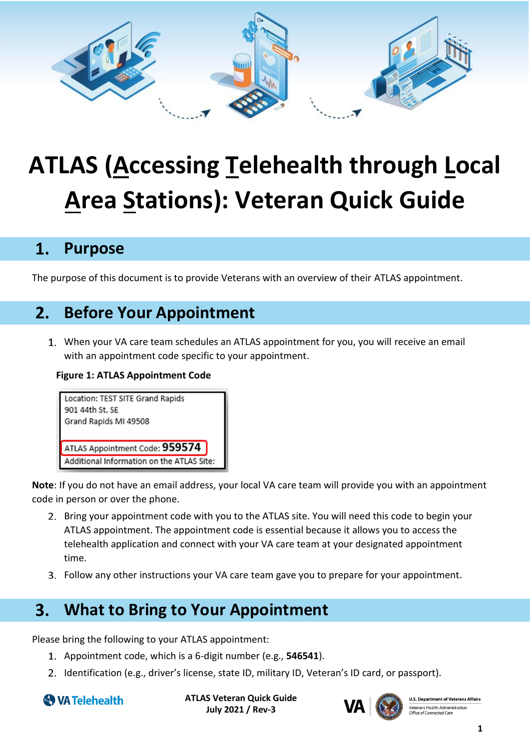

# **ATLAS (Accessing Telehealth through Local Area Stations): Veteran Quick Guide**

## $1.$ **Purpose**

The purpose of this document is to provide Veterans with an overview of their ATLAS appointment.

## $2.$ **Before Your Appointment**

When your VA care team schedules an ATLAS appointment for you, you will receive an email with an appointment code specific to your appointment.

## **Figure 1: ATLAS Appointment Code**



**Note**: If you do not have an email address, your local VA care team will provide you with an appointment code in person or over the phone.

- 2. Bring your appointment code with you to the ATLAS site. You will need this code to begin your ATLAS appointment. The appointment code is essential because it allows you to access the telehealth application and connect with your VA care team at your designated appointment time.
- Follow any other instructions your VA care team gave you to prepare for your appointment.

## **What to Bring to Your Appointment**  $3.$

Please bring the following to your ATLAS appointment:

- Appointment code, which is a 6-digit number (e.g., **546541**).
- 2. Identification (e.g., driver's license, state ID, military ID, Veteran's ID card, or passport).

```
WA Telehealth
```
**ATLAS Veteran Quick Guide July 2021 / Rev-3**



**U.S. Department of Veterans Affairs** Veterans Health Administration Office of Connected Car